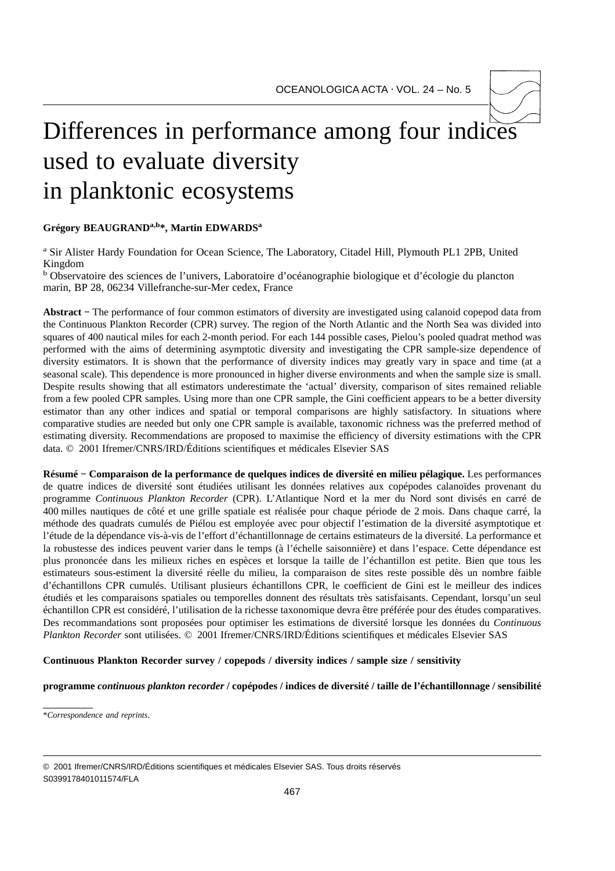

# Differences in performance among four indices used to evaluate diversity in planktonic ecosystems

# **Grégory BEAUGRANDa,b\*, Martin EDWARDSa**

<sup>a</sup> Sir Alister Hardy Foundation for Ocean Science, The Laboratory, Citadel Hill, Plymouth PL1 2PB, United Kingdom

<sup>b</sup> Observatoire des sciences de l'univers, Laboratoire d'océanographie biologique et d'écologie du plancton marin, BP 28, 06234 Villefranche-sur-Mer cedex, France

**Abstract −** The performance of four common estimators of diversity are investigated using calanoid copepod data from the Continuous Plankton Recorder (CPR) survey. The region of the North Atlantic and the North Sea was divided into squares of 400 nautical miles for each 2-month period. For each 144 possible cases, Pielou's pooled quadrat method was performed with the aims of determining asymptotic diversity and investigating the CPR sample-size dependence of diversity estimators. It is shown that the performance of diversity indices may greatly vary in space and time (at a seasonal scale). This dependence is more pronounced in higher diverse environments and when the sample size is small. Despite results showing that all estimators underestimate the 'actual' diversity, comparison of sites remained reliable from a few pooled CPR samples. Using more than one CPR sample, the Gini coefficient appears to be a better diversity estimator than any other indices and spatial or temporal comparisons are highly satisfactory. In situations where comparative studies are needed but only one CPR sample is available, taxonomic richness was the preferred method of estimating diversity. Recommendations are proposed to maximise the efficiency of diversity estimations with the CPR data. © 2001 Ifremer/CNRS/IRD/Éditions scientifiques et médicales Elsevier SAS

**Résumé − Comparaison de la performance de quelques indices de diversité en milieu pélagique.** Les performances de quatre indices de diversité sont étudiées utilisant les données relatives aux copépodes calanoïdes provenant du programme *Continuous Plankton Recorder* (CPR). L'Atlantique Nord et la mer du Nord sont divisés en carré de 400 milles nautiques de côté et une grille spatiale est réalisée pour chaque période de 2 mois. Dans chaque carré, la méthode des quadrats cumulés de Piélou est employée avec pour objectif l'estimation de la diversité asymptotique et l'étude de la dépendance vis-à-vis de l'effort d'échantillonnage de certains estimateurs de la diversité. La performance et la robustesse des indices peuvent varier dans le temps (à l'échelle saisonnière) et dans l'espace. Cette dépendance est plus prononcée dans les milieux riches en espèces et lorsque la taille de l'échantillon est petite. Bien que tous les estimateurs sous-estiment la diversité réelle du milieu, la comparaison de sites reste possible dès un nombre faible d'échantillons CPR cumulés. Utilisant plusieurs échantillons CPR, le coefficient de Gini est le meilleur des indices étudiés et les comparaisons spatiales ou temporelles donnent des résultats très satisfaisants. Cependant, lorsqu'un seul échantillon CPR est considéré, l'utilisation de la richesse taxonomique devra être préférée pour des études comparatives. Des recommandations sont proposées pour optimiser les estimations de diversité lorsque les données du *Continuous Plankton Recorder* sont utilisées. © 2001 Ifremer/CNRS/IRD/Éditions scientifiques et médicales Elsevier SAS

## **Continuous Plankton Recorder survey / copepods / diversity indices / sample size / sensitivity**

## **programme** *continuous plankton recorder* **/ copépodes / indices de diversité / taille de l'échantillonnage / sensibilité**

<sup>\*</sup>*Correspondence and reprints*.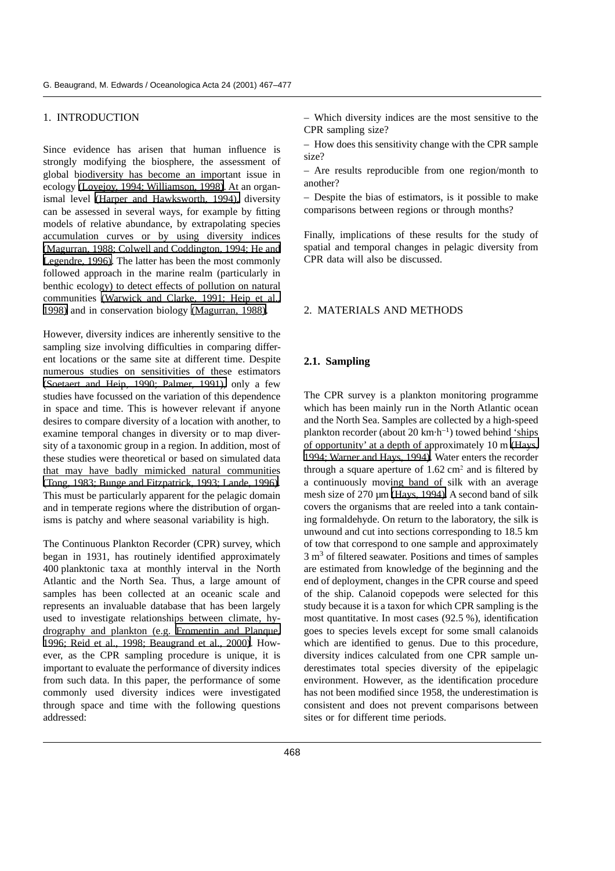# 1. INTRODUCTION

Since evidence has arisen that human influence is strongly modifying the biosphere, the assessment of global biodiversity has become an important issue in ecology [\(Lovejoy, 1994; Williamson, 1998\)](#page-9-0). At an organismal level [\(Harper and Hawksworth, 1994\),](#page-9-0) diversity can be assessed in several ways, for example by fitting models of relative abundance, by extrapolating species accumulation curves or by using diversity indices [\(Magurran, 1988; Colwell and Coddington, 1994; He and](#page-9-0) [Legendre, 1996\).](#page-9-0) The latter has been the most commonly followed approach in the marine realm (particularly in benthic ecology) to detect effects of pollution on natural communities [\(Warwick and Clarke, 1991; Heip et al.,](#page-10-0) [1998\)](#page-10-0) and in conservation biology [\(Magurran, 1988\)](#page-9-0).

However, diversity indices are inherently sensitive to the sampling size involving difficulties in comparing different locations or the same site at different time. Despite numerous studies on sensitivities of these estimators [\(Soetaert and Heip, 1990; Palmer, 1991\),](#page-10-0) only a few studies have focussed on the variation of this dependence in space and time. This is however relevant if anyone desires to compare diversity of a location with another, to examine temporal changes in diversity or to map diversity of a taxonomic group in a region. In addition, most of these studies were theoretical or based on simulated data that may have badly mimicked natural communities [\(Tong, 1983; Bunge and Fitzpatrick, 1993; Lande, 1996\).](#page-10-0) This must be particularly apparent for the pelagic domain and in temperate regions where the distribution of organisms is patchy and where seasonal variability is high.

The Continuous Plankton Recorder (CPR) survey, which began in 1931, has routinely identified approximately 400 planktonic taxa at monthly interval in the North Atlantic and the North Sea. Thus, a large amount of samples has been collected at an oceanic scale and represents an invaluable database that has been largely used to investigate relationships between climate, hydrography and plankton (e.g. [Fromentin and Planque,](#page-9-0) [1996; Reid et al., 1998; Beaugrand et al., 2000\)](#page-9-0). However, as the CPR sampling procedure is unique, it is important to evaluate the performance of diversity indices from such data. In this paper, the performance of some commonly used diversity indices were investigated through space and time with the following questions addressed:

– Which diversity indices are the most sensitive to the CPR sampling size?

– How does this sensitivity change with the CPR sample size?

– Are results reproducible from one region/month to another?

– Despite the bias of estimators, is it possible to make comparisons between regions or through months?

Finally, implications of these results for the study of spatial and temporal changes in pelagic diversity from CPR data will also be discussed.

## 2. MATERIALS AND METHODS

# **2.1. Sampling**

The CPR survey is a plankton monitoring programme which has been mainly run in the North Atlantic ocean and the North Sea. Samples are collected by a high-speed plankton recorder (about 20 km·h–1 ) towed behind 'ships of opportunity' at a depth of approximately 10 m [\(Hays,](#page-9-0) [1994; Warner and Hays, 1994\)](#page-9-0). Water enters the recorder through a square aperture of  $1.62 \text{ cm}^2$  and is filtered by a continuously moving band of silk with an average mesh size of 270 µm [\(Hays, 1994\).](#page-9-0) A second band of silk covers the organisms that are reeled into a tank containing formaldehyde. On return to the laboratory, the silk is unwound and cut into sections corresponding to 18.5 km of tow that correspond to one sample and approximately 3 m3 of filtered seawater. Positions and times of samples are estimated from knowledge of the beginning and the end of deployment, changes in the CPR course and speed of the ship. Calanoid copepods were selected for this study because it is a taxon for which CPR sampling is the most quantitative. In most cases (92.5 %), identification goes to species levels except for some small calanoids which are identified to genus. Due to this procedure, diversity indices calculated from one CPR sample underestimates total species diversity of the epipelagic environment. However, as the identification procedure has not been modified since 1958, the underestimation is consistent and does not prevent comparisons between sites or for different time periods.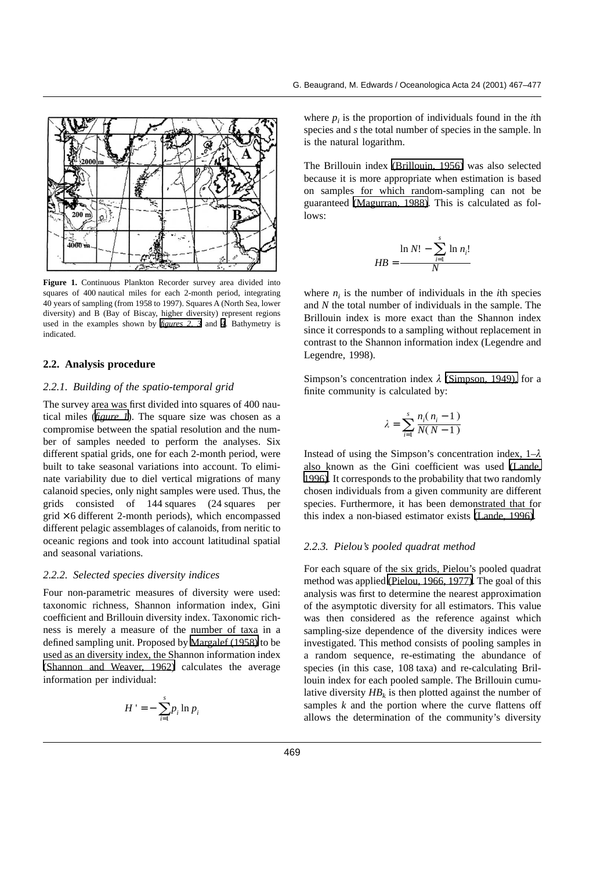<span id="page-2-0"></span>

**Figure 1.** Continuous Plankton Recorder survey area divided into squares of 400 nautical miles for each 2-month period, integrating 40 years of sampling (from 1958 to 1997). Squares A (North Sea, lower diversity) and B (Bay of Biscay, higher diversity) represent regions used in the examples shown by *[figures 2, 3](#page-4-0)* and *[4](#page-5-0)*. Bathymetry is indicated.

## **2.2. Analysis procedure**

#### *2.2.1. Building of the spatio-temporal grid*

The survey area was first divided into squares of 400 nautical miles (*figure 1*). The square size was chosen as a compromise between the spatial resolution and the number of samples needed to perform the analyses. Six different spatial grids, one for each 2-month period, were built to take seasonal variations into account. To eliminate variability due to diel vertical migrations of many calanoid species, only night samples were used. Thus, the grids consisted of 144 squares (24 squares per  $grid \times 6$  different 2-month periods), which encompassed different pelagic assemblages of calanoids, from neritic to oceanic regions and took into account latitudinal spatial and seasonal variations.

## *2.2.2. Selected species diversity indices*

Four non-parametric measures of diversity were used: taxonomic richness, Shannon information index, Gini coefficient and Brillouin diversity index. Taxonomic richness is merely a measure of the number of taxa in a defined sampling unit. Proposed by [Margalef \(1958\)](#page-9-0) to be used as an diversity index, the Shannon information index [\(Shannon and Weaver, 1962\)](#page-10-0) calculates the average information per individual:

$$
H' = -\sum_{i=1}^{s} p_i \ln p_i
$$

where  $p_i$  is the proportion of individuals found in the *i*th species and *s* the total number of species in the sample. ln is the natural logarithm.

The Brillouin index [\(Brillouin, 1956\)](#page-9-0) was also selected because it is more appropriate when estimation is based on samples for which random-sampling can not be guaranteed [\(Magurran, 1988\)](#page-9-0). This is calculated as follows:

$$
HB = \frac{\ln N! - \sum_{i=1}^{s} \ln n_i!}{N}
$$

where  $n_i$  is the number of individuals in the *i*th species and *N* the total number of individuals in the sample. The Brillouin index is more exact than the Shannon index since it corresponds to a sampling without replacement in contrast to the Shannon information index (Legendre and Legendre, 1998).

Simpson's concentration index  $\lambda$  [\(Simpson, 1949\),](#page-10-0) for a finite community is calculated by:

$$
\lambda = \sum_{i=1}^{s} \frac{n_i(n_i - 1)}{N(N-1)}
$$

Instead of using the Simpson's concentration index,  $1-\lambda$ also known as the Gini coefficient was used [\(Lande,](#page-9-0) [1996\)](#page-9-0). It corresponds to the probability that two randomly chosen individuals from a given community are different species. Furthermore, it has been demonstrated that for this index a non-biased estimator exists [\(Lande, 1996\).](#page-9-0)

#### *2.2.3. Pielou's pooled quadrat method*

For each square of the six grids, Pielou's pooled quadrat method was applied [\(Pielou, 1966, 1977\).](#page-10-0) The goal of this analysis was first to determine the nearest approximation of the asymptotic diversity for all estimators. This value was then considered as the reference against which sampling-size dependence of the diversity indices were investigated. This method consists of pooling samples in a random sequence, re-estimating the abundance of species (in this case, 108 taxa) and re-calculating Brillouin index for each pooled sample. The Brillouin cumulative diversity  $HB_k$  is then plotted against the number of samples *k* and the portion where the curve flattens off allows the determination of the community's diversity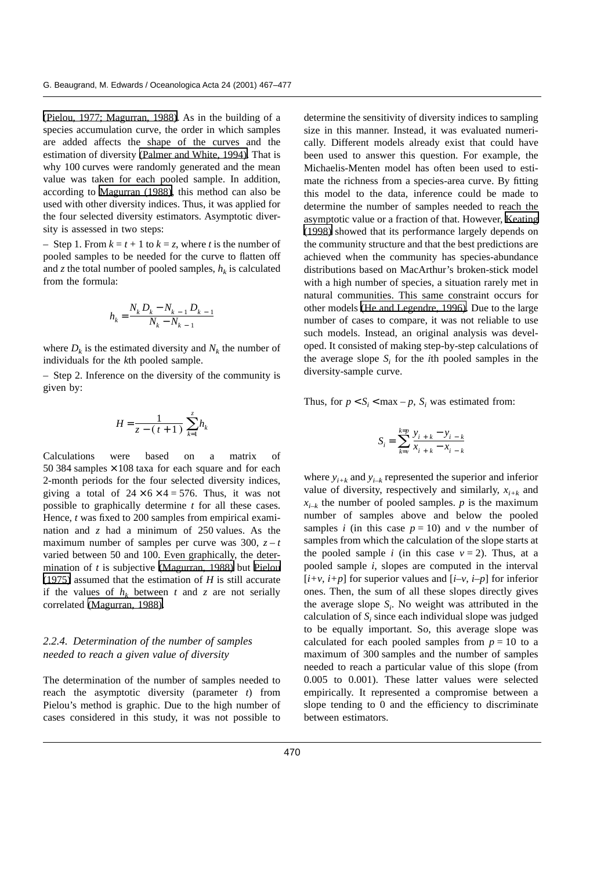[\(Pielou, 1977; Magurran, 1988\)](#page-10-0). As in the building of a species accumulation curve, the order in which samples are added affects the shape of the curves and the estimation of diversity [\(Palmer and White, 1994\).](#page-10-0) That is why 100 curves were randomly generated and the mean value was taken for each pooled sample. In addition, according to [Magurran \(1988\)](#page-9-0), this method can also be used with other diversity indices. Thus, it was applied for the four selected diversity estimators. Asymptotic diversity is assessed in two steps:

– Step 1. From  $k = t + 1$  to  $k = z$ , where *t* is the number of pooled samples to be needed for the curve to flatten off and *z* the total number of pooled samples,  $h_k$  is calculated from the formula:

$$
h_k = \frac{N_k D_k - N_{k-1} D_{k-1}}{N_k - N_{k-1}}
$$

where  $D_k$  is the estimated diversity and  $N_k$  the number of individuals for the *k*th pooled sample.

– Step 2. Inference on the diversity of the community is given by:

$$
H = \frac{1}{z - (t+1)} \sum_{k=1}^{z} h_k
$$

Calculations were based on a matrix of 50 384 samples  $\times$  108 taxa for each square and for each 2-month periods for the four selected diversity indices, giving a total of  $24 \times 6 \times 4 = 576$ . Thus, it was not possible to graphically determine *t* for all these cases. Hence, *t* was fixed to 200 samples from empirical examination and *z* had a minimum of 250 values. As the maximum number of samples per curve was 300,  $z - t$ varied between 50 and 100. Even graphically, the determination of *t* is subjective [\(Magurran, 1988\)](#page-9-0) but [Pielou](#page-10-0) [\(1975\)](#page-10-0) assumed that the estimation of *H* is still accurate if the values of  $h_k$  between  $t$  and  $z$  are not serially correlated [\(Magurran, 1988\).](#page-9-0)

## *2.2.4. Determination of the number of samples needed to reach a given value of diversity*

The determination of the number of samples needed to reach the asymptotic diversity (parameter *t*) from Pielou's method is graphic. Due to the high number of cases considered in this study, it was not possible to determine the sensitivity of diversity indices to sampling size in this manner. Instead, it was evaluated numerically. Different models already exist that could have been used to answer this question. For example, the Michaelis-Menten model has often been used to estimate the richness from a species-area curve. By fitting this model to the data, inference could be made to determine the number of samples needed to reach the asymptotic value or a fraction of that. However, [Keating](#page-9-0) [\(1998\)](#page-9-0) showed that its performance largely depends on the community structure and that the best predictions are achieved when the community has species-abundance distributions based on MacArthur's broken-stick model with a high number of species, a situation rarely met in natural communities. This same constraint occurs for other models [\(He and Legendre, 1996\).](#page-9-0) Due to the large number of cases to compare, it was not reliable to use such models. Instead, an original analysis was developed. It consisted of making step-by-step calculations of the average slope  $S_i$  for the *i*th pooled samples in the diversity-sample curve.

Thus, for  $p < S_i$  < max – p,  $S_i$  was estimated from:

$$
S_i = \sum_{k=v}^{k=p} \frac{y_{i+k} - y_{i-k}}{x_{i+k} - x_{i-k}}
$$

where  $y_{i+k}$  and  $y_{i-k}$  represented the superior and inferior value of diversity, respectively and similarly,  $x_{i+k}$  and  $x_{i-k}$  the number of pooled samples. *p* is the maximum number of samples above and below the pooled samples *i* (in this case  $p = 10$ ) and *v* the number of samples from which the calculation of the slope starts at the pooled sample *i* (in this case  $v = 2$ ). Thus, at a pooled sample *i*, slopes are computed in the interval  $[i+v, i+p]$  for superior values and  $[i-v, i-p]$  for inferior ones. Then, the sum of all these slopes directly gives the average slope  $S_i$ . No weight was attributed in the calculation of  $S_i$  since each individual slope was judged to be equally important. So, this average slope was calculated for each pooled samples from  $p = 10$  to a maximum of 300 samples and the number of samples needed to reach a particular value of this slope (from 0.005 to 0.001). These latter values were selected empirically. It represented a compromise between a slope tending to 0 and the efficiency to discriminate between estimators.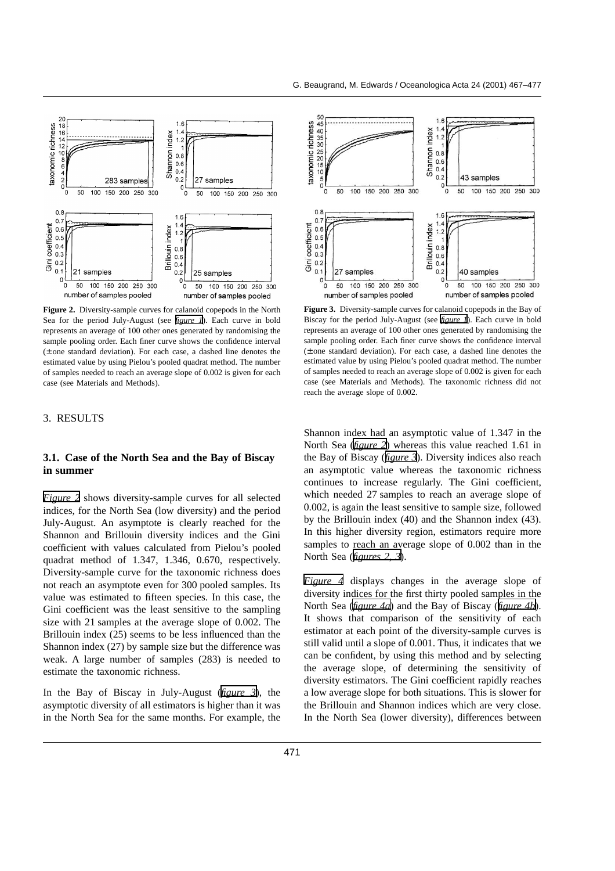<span id="page-4-0"></span>

**Figure 2.** Diversity-sample curves for calanoid copepods in the North Sea for the period July-August (see *[figure 1](#page-2-0)*). Each curve in bold represents an average of 100 other ones generated by randomising the sample pooling order. Each finer curve shows the confidence interval (± one standard deviation). For each case, a dashed line denotes the estimated value by using Pielou's pooled quadrat method. The number of samples needed to reach an average slope of 0.002 is given for each case (see Materials and Methods).

## 3. RESULTS

## **3.1. Case of the North Sea and the Bay of Biscay in summer**

*Figure 2* shows diversity-sample curves for all selected indices, for the North Sea (low diversity) and the period July-August. An asymptote is clearly reached for the Shannon and Brillouin diversity indices and the Gini coefficient with values calculated from Pielou's pooled quadrat method of 1.347, 1.346, 0.670, respectively. Diversity-sample curve for the taxonomic richness does not reach an asymptote even for 300 pooled samples. Its value was estimated to fifteen species. In this case, the Gini coefficient was the least sensitive to the sampling size with 21 samples at the average slope of 0.002. The Brillouin index (25) seems to be less influenced than the Shannon index (27) by sample size but the difference was weak. A large number of samples (283) is needed to estimate the taxonomic richness.

In the Bay of Biscay in July-August (*figure 3*), the asymptotic diversity of all estimators is higher than it was in the North Sea for the same months. For example, the



**Figure 3.** Diversity-sample curves for calanoid copepods in the Bay of Biscay for the period July-August (see *[figure 1](#page-2-0)*). Each curve in bold represents an average of 100 other ones generated by randomising the sample pooling order. Each finer curve shows the confidence interval (± one standard deviation). For each case, a dashed line denotes the estimated value by using Pielou's pooled quadrat method. The number of samples needed to reach an average slope of 0.002 is given for each case (see Materials and Methods). The taxonomic richness did not reach the average slope of 0.002.

Shannon index had an asymptotic value of 1.347 in the North Sea (*figure 2*) whereas this value reached 1.61 in the Bay of Biscay (*figure 3*). Diversity indices also reach an asymptotic value whereas the taxonomic richness continues to increase regularly. The Gini coefficient, which needed 27 samples to reach an average slope of 0.002, is again the least sensitive to sample size, followed by the Brillouin index (40) and the Shannon index (43). In this higher diversity region, estimators require more samples to reach an average slope of 0.002 than in the North Sea (*figures 2, 3*).

*[Figure 4](#page-5-0)* displays changes in the average slope of diversity indices for the first thirty pooled samples in the North Sea (*[figure 4a](#page-5-0)*) and the Bay of Biscay (*[figure 4b](#page-5-0)*). It shows that comparison of the sensitivity of each estimator at each point of the diversity-sample curves is still valid until a slope of 0.001. Thus, it indicates that we can be confident, by using this method and by selecting the average slope, of determining the sensitivity of diversity estimators. The Gini coefficient rapidly reaches a low average slope for both situations. This is slower for the Brillouin and Shannon indices which are very close. In the North Sea (lower diversity), differences between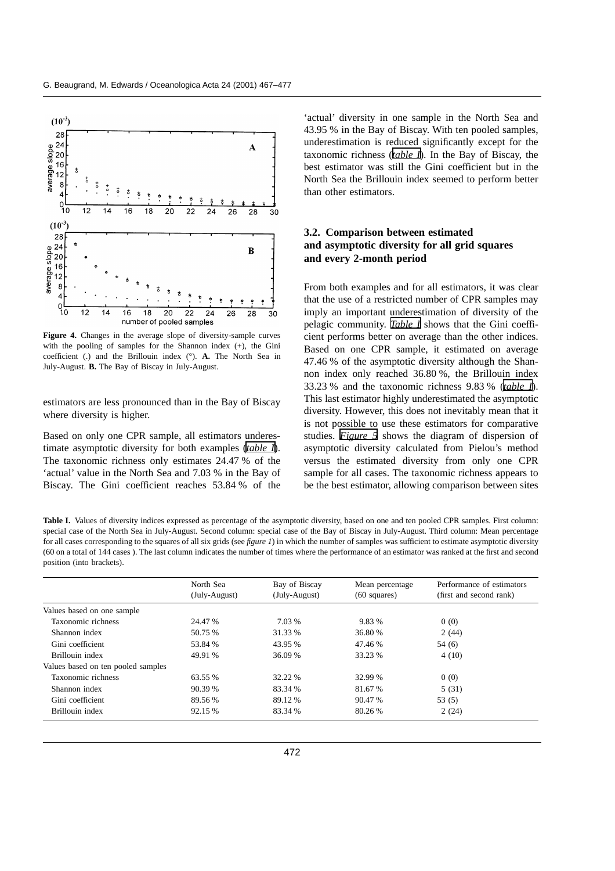<span id="page-5-0"></span>

**Figure 4.** Changes in the average slope of diversity-sample curves with the pooling of samples for the Shannon index (+), the Gini coefficient (.) and the Brillouin index (°). **A.** The North Sea in July-August. **B.** The Bay of Biscay in July-August.

estimators are less pronounced than in the Bay of Biscay where diversity is higher.

Based on only one CPR sample, all estimators underestimate asymptotic diversity for both examples (*table I*). The taxonomic richness only estimates 24.47 % of the 'actual' value in the North Sea and 7.03 % in the Bay of Biscay. The Gini coefficient reaches 53.84 % of the

'actual' diversity in one sample in the North Sea and 43.95 % in the Bay of Biscay. With ten pooled samples, underestimation is reduced significantly except for the taxonomic richness (*table I*). In the Bay of Biscay, the best estimator was still the Gini coefficient but in the North Sea the Brillouin index seemed to perform better than other estimators.

## **3.2. Comparison between estimated and asymptotic diversity for all grid squares and every 2-month period**

From both examples and for all estimators, it was clear that the use of a restricted number of CPR samples may imply an important underestimation of diversity of the pelagic community. *Table I* shows that the Gini coefficient performs better on average than the other indices. Based on one CPR sample, it estimated on average 47.46 % of the asymptotic diversity although the Shannon index only reached 36.80 %, the Brillouin index 33.23 % and the taxonomic richness 9.83 % (*table I*). This last estimator highly underestimated the asymptotic diversity. However, this does not inevitably mean that it is not possible to use these estimators for comparative studies. *[Figure 5](#page-6-0)* shows the diagram of dispersion of asymptotic diversity calculated from Pielou's method versus the estimated diversity from only one CPR sample for all cases. The taxonomic richness appears to be the best estimator, allowing comparison between sites

Table I. Values of diversity indices expressed as percentage of the asymptotic diversity, based on one and ten pooled CPR samples. First column: special case of the North Sea in July-August. Second column: special case of the Bay of Biscay in July-August. Third column: Mean percentage for all cases corresponding to the squares of all six grids (see *figure 1*) in which the number of samples was sufficient to estimate asymptotic diversity (60 on a total of 144 cases ). The last column indicates the number of times where the performance of an estimator was ranked at the first and second position (into brackets).

|                                    | North Sea<br>(July-August) | Bay of Biscay<br>(July-August) | Mean percentage<br>$(60 \text{ squares})$ | Performance of estimators<br>(first and second rank) |
|------------------------------------|----------------------------|--------------------------------|-------------------------------------------|------------------------------------------------------|
| Values based on one sample         |                            |                                |                                           |                                                      |
| Taxonomic richness                 | 24.47 %                    | 7.03 %                         | 9.83 %                                    | 0(0)                                                 |
| Shannon index                      | 50.75 %                    | 31.33 %                        | 36.80 %                                   | 2(44)                                                |
| Gini coefficient                   | 53.84 %                    | 43.95 %                        | 47.46 %                                   | 54 (6)                                               |
| Brillouin index                    | 49.91 %                    | 36.09 %                        | 33.23 %                                   | 4(10)                                                |
| Values based on ten pooled samples |                            |                                |                                           |                                                      |
| Taxonomic richness                 | 63.55 %                    | 32.22 %                        | 32.99 %                                   | 0(0)                                                 |
| Shannon index                      | 90.39 %                    | 83.34 %                        | 81.67 %                                   | 5(31)                                                |
| Gini coefficient                   | 89.56 %                    | 89.12 %                        | 90.47 %                                   | 53 $(5)$                                             |
| Brillouin index                    | 92.15 %                    | 83.34 %                        | 80.26 %                                   | 2(24)                                                |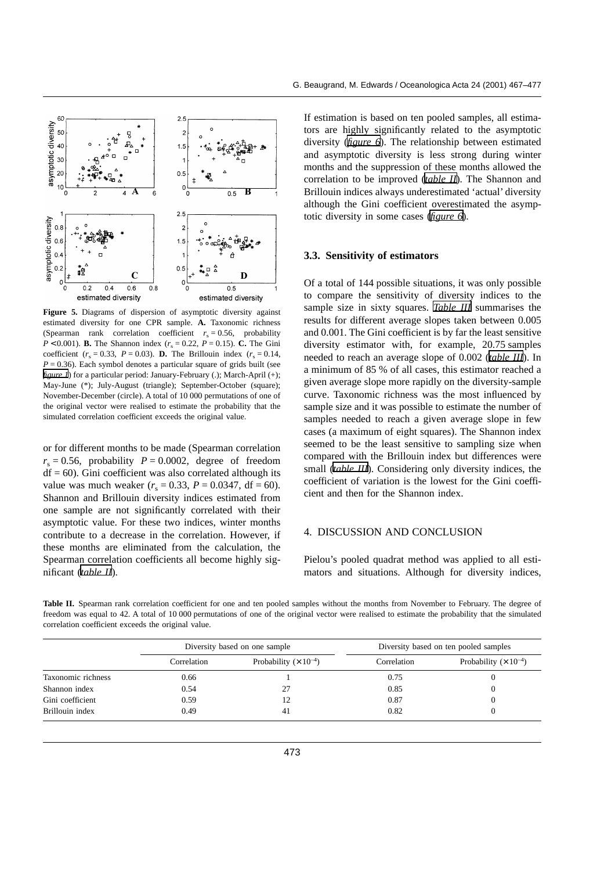<span id="page-6-0"></span>

**Figure 5.** Diagrams of dispersion of asymptotic diversity against estimated diversity for one CPR sample. **A.** Taxonomic richness (Spearman rank correlation coefficient  $r<sub>s</sub> = 0.56$ , probability *P* < 0.001). **B.** The Shannon index ( $r_s = 0.22$ , *P* = 0.15). **C.** The Gini coefficient ( $r_s = 0.33$ ,  $P = 0.03$ ). **D.** The Brillouin index ( $r_s = 0.14$ ,  $P = 0.36$ ). Each symbol denotes a particular square of grids built (see *[figure 1](#page-2-0)*) for a particular period: January-February (.); March-April (+); May-June (\*); July-August (triangle); September-October (square); November-December (circle). A total of 10 000 permutations of one of the original vector were realised to estimate the probability that the simulated correlation coefficient exceeds the original value.

or for different months to be made (Spearman correlation  $r<sub>s</sub> = 0.56$ , probability  $P = 0.0002$ , degree of freedom  $df = 60$ ). Gini coefficient was also correlated although its value was much weaker ( $r_s = 0.33$ ,  $P = 0.0347$ , df = 60). Shannon and Brillouin diversity indices estimated from one sample are not significantly correlated with their asymptotic value. For these two indices, winter months contribute to a decrease in the correlation. However, if these months are eliminated from the calculation, the Spearman correlation coefficients all become highly significant (*table II*).

If estimation is based on ten pooled samples, all estimators are highly significantly related to the asymptotic diversity (*[figure 6](#page-7-0)*). The relationship between estimated and asymptotic diversity is less strong during winter months and the suppression of these months allowed the correlation to be improved (*table II*). The Shannon and Brillouin indices always underestimated 'actual' diversity although the Gini coefficient overestimated the asymptotic diversity in some cases (*[figure 6](#page-7-0)*).

#### **3.3. Sensitivity of estimators**

Of a total of 144 possible situations, it was only possible to compare the sensitivity of diversity indices to the sample size in sixty squares. *[Table III](#page-8-0)* summarises the results for different average slopes taken between 0.005 and 0.001. The Gini coefficient is by far the least sensitive diversity estimator with, for example, 20.75 samples needed to reach an average slope of 0.002 (*[table III](#page-8-0)*). In a minimum of 85 % of all cases, this estimator reached a given average slope more rapidly on the diversity-sample curve. Taxonomic richness was the most influenced by sample size and it was possible to estimate the number of samples needed to reach a given average slope in few cases (a maximum of eight squares). The Shannon index seemed to be the least sensitive to sampling size when compared with the Brillouin index but differences were small (*[table III](#page-8-0)*). Considering only diversity indices, the coefficient of variation is the lowest for the Gini coefficient and then for the Shannon index.

#### 4. DISCUSSION AND CONCLUSION

Pielou's pooled quadrat method was applied to all estimators and situations. Although for diversity indices,

Table II. Spearman rank correlation coefficient for one and ten pooled samples without the months from November to February. The degree of freedom was equal to 42. A total of 10 000 permutations of one of the original vector were realised to estimate the probability that the simulated correlation coefficient exceeds the original value.

|                    |             | Diversity based on one sample  | Diversity based on ten pooled samples |                                |  |
|--------------------|-------------|--------------------------------|---------------------------------------|--------------------------------|--|
|                    | Correlation | Probability $(\times 10^{-4})$ | Correlation                           | Probability $(\times 10^{-4})$ |  |
| Taxonomic richness | 0.66        |                                | 0.75                                  |                                |  |
| Shannon index      | 0.54        | 27                             | 0.85                                  |                                |  |
| Gini coefficient   | 0.59        |                                | 0.87                                  |                                |  |
| Brillouin index    | 0.49        | 41                             | 0.82                                  |                                |  |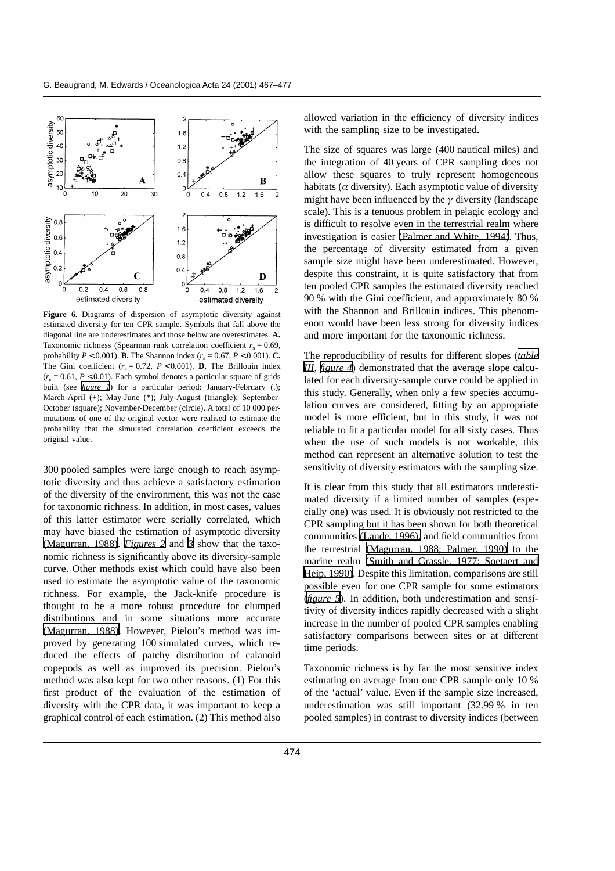<span id="page-7-0"></span>

**Figure 6.** Diagrams of dispersion of asymptotic diversity against estimated diversity for ten CPR sample. Symbols that fall above the diagonal line are underestimates and those below are overestimates. **A.** Taxonomic richness (Spearman rank correlation coefficient  $r_s = 0.69$ , probability *P* < 0.001). **B.** The Shannon index ( $r_s = 0.67$ , *P* < 0.001). **C.** The Gini coefficient  $(r_s = 0.72, P < 0.001)$ . **D.** The Brillouin index  $(r<sub>s</sub> = 0.61, P < 0.01)$ . Each symbol denotes a particular square of grids built (see *[figure 1](#page-2-0)*) for a particular period: January-February (.); March-April (+); May-June (\*); July-August (triangle); September-October (square); November-December (circle). A total of 10 000 permutations of one of the original vector were realised to estimate the probability that the simulated correlation coefficient exceeds the original value.

300 pooled samples were large enough to reach asymptotic diversity and thus achieve a satisfactory estimation of the diversity of the environment, this was not the case for taxonomic richness. In addition, in most cases, values of this latter estimator were serially correlated, which may have biased the estimation of asymptotic diversity [\(Magurran, 1988\)](#page-9-0). *[Figures 2](#page-4-0)* and *[3](#page-4-0)* show that the taxonomic richness is significantly above its diversity-sample curve. Other methods exist which could have also been used to estimate the asymptotic value of the taxonomic richness. For example, the Jack-knife procedure is thought to be a more robust procedure for clumped distributions and in some situations more accurate [\(Magurran, 1988\).](#page-9-0) However, Pielou's method was improved by generating 100 simulated curves, which reduced the effects of patchy distribution of calanoid copepods as well as improved its precision. Pielou's method was also kept for two other reasons. (1) For this first product of the evaluation of the estimation of diversity with the CPR data, it was important to keep a graphical control of each estimation. (2) This method also allowed variation in the efficiency of diversity indices with the sampling size to be investigated.

The size of squares was large (400 nautical miles) and the integration of 40 years of CPR sampling does not allow these squares to truly represent homogeneous habitats ( $\alpha$  diversity). Each asymptotic value of diversity might have been influenced by the  $\gamma$  diversity (landscape scale). This is a tenuous problem in pelagic ecology and is difficult to resolve even in the terrestrial realm where investigation is easier [\(Palmer and White, 1994\)](#page-10-0). Thus, the percentage of diversity estimated from a given sample size might have been underestimated. However, despite this constraint, it is quite satisfactory that from ten pooled CPR samples the estimated diversity reached 90 % with the Gini coefficient, and approximately 80 % with the Shannon and Brillouin indices. This phenomenon would have been less strong for diversity indices and more important for the taxonomic richness.

The reproducibility of results for different slopes (*[table](#page-8-0) [III](#page-8-0)*, *[figure 4](#page-5-0)*) demonstrated that the average slope calculated for each diversity-sample curve could be applied in this study. Generally, when only a few species accumulation curves are considered, fitting by an appropriate model is more efficient, but in this study, it was not reliable to fit a particular model for all sixty cases. Thus when the use of such models is not workable, this method can represent an alternative solution to test the sensitivity of diversity estimators with the sampling size.

It is clear from this study that all estimators underestimated diversity if a limited number of samples (especially one) was used. It is obviously not restricted to the CPR sampling but it has been shown for both theoretical communities [\(Lande, 1996\),](#page-9-0) and field communities from the terrestrial [\(Magurran, 1988; Palmer, 1990\)](#page-9-0) to the marine realm [\(Smith and Grassle, 1977; Soetaert and](#page-10-0) [Heip, 1990\)](#page-10-0). Despite this limitation, comparisons are still possible even for one CPR sample for some estimators (*[figure 5](#page-6-0)*). In addition, both underestimation and sensitivity of diversity indices rapidly decreased with a slight increase in the number of pooled CPR samples enabling satisfactory comparisons between sites or at different time periods.

Taxonomic richness is by far the most sensitive index estimating on average from one CPR sample only 10 % of the 'actual' value. Even if the sample size increased, underestimation was still important (32.99 % in ten pooled samples) in contrast to diversity indices (between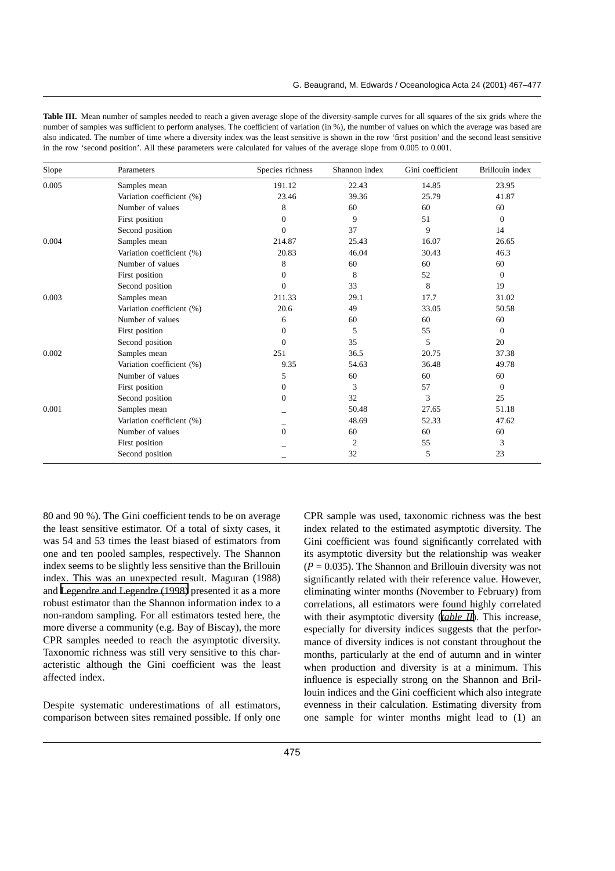<span id="page-8-0"></span>

| Table III. Mean number of samples needed to reach a given average slope of the diversity-sample curves for all squares of the six grids where the      |
|--------------------------------------------------------------------------------------------------------------------------------------------------------|
| number of samples was sufficient to perform analyses. The coefficient of variation (in %), the number of values on which the average was based are     |
| also indicated. The number of time where a diversity index was the least sensitive is shown in the row 'first position' and the second least sensitive |
| in the row 'second position'. All these parameters were calculated for values of the average slope from 0.005 to 0.001.                                |

| Slope | Parameters                | Species richness | Shannon index    | Gini coefficient | Brillouin index |
|-------|---------------------------|------------------|------------------|------------------|-----------------|
| 0.005 | Samples mean              | 191.12           | 22.43            | 14.85            | 23.95           |
|       | Variation coefficient (%) | 23.46            | 39.36            | 25.79            | 41.87           |
|       | Number of values          | 8                | 60               | 60               | 60              |
|       | First position            | $\Omega$         | 9                | 51               | $\Omega$        |
|       | Second position           | $\Omega$         | 37               | 9                | 14              |
| 0.004 | Samples mean              | 214.87           | 25.43            | 16.07            | 26.65           |
|       | Variation coefficient (%) | 20.83            | 46.04            | 30.43            | 46.3            |
|       | Number of values          | 8                | 60               | 60               | 60              |
|       | First position            | $\Omega$         | 8                | 52               | $\overline{0}$  |
|       | Second position           | $\Omega$         | 33               | 8                | 19              |
| 0.003 | Samples mean              | 211.33           | 29.1             | 17.7             | 31.02           |
|       | Variation coefficient (%) | 20.6             | 49               | 33.05            | 50.58           |
|       | Number of values          | 6                | 60               | 60               | 60              |
|       | First position            | $\mathbf{0}$     | 5                | 55               | $\theta$        |
|       | Second position           | $\Omega$         | 35               | 5                | 20              |
| 0.002 | Samples mean              | 251              | 36.5             | 20.75            | 37.38           |
|       | Variation coefficient (%) | 9.35             | 54.63            | 36.48            | 49.78           |
|       | Number of values          | 5                | 60               | 60               | 60              |
|       | First position            | $\mathbf{0}$     | 3                | 57               | $\theta$        |
|       | Second position           | $\Omega$         | 32               | 3                | 25              |
| 0.001 | Samples mean              |                  | 50.48            | 27.65            | 51.18           |
|       | Variation coefficient (%) |                  | 48.69            | 52.33            | 47.62           |
|       | Number of values          | $\Omega$         | 60               | 60               | 60              |
|       | First position            |                  | $\boldsymbol{2}$ | 55               | 3               |
|       | Second position           |                  | 32               | 5                | 23              |

80 and 90 %). The Gini coefficient tends to be on average the least sensitive estimator. Of a total of sixty cases, it was 54 and 53 times the least biased of estimators from one and ten pooled samples, respectively. The Shannon index seems to be slightly less sensitive than the Brillouin index. This was an unexpected result. Maguran (1988) and [Legendre and Legendre \(1998\)](#page-9-0) presented it as a more robust estimator than the Shannon information index to a non-random sampling. For all estimators tested here, the more diverse a community (e.g. Bay of Biscay), the more CPR samples needed to reach the asymptotic diversity. Taxonomic richness was still very sensitive to this characteristic although the Gini coefficient was the least affected index.

Despite systematic underestimations of all estimators, comparison between sites remained possible. If only one CPR sample was used, taxonomic richness was the best index related to the estimated asymptotic diversity. The Gini coefficient was found significantly correlated with its asymptotic diversity but the relationship was weaker  $(P = 0.035)$ . The Shannon and Brillouin diversity was not significantly related with their reference value. However, eliminating winter months (November to February) from correlations, all estimators were found highly correlated with their asymptotic diversity (*[table II](#page-6-0)*). This increase, especially for diversity indices suggests that the performance of diversity indices is not constant throughout the months, particularly at the end of autumn and in winter when production and diversity is at a minimum. This influence is especially strong on the Shannon and Brillouin indices and the Gini coefficient which also integrate evenness in their calculation. Estimating diversity from one sample for winter months might lead to (1) an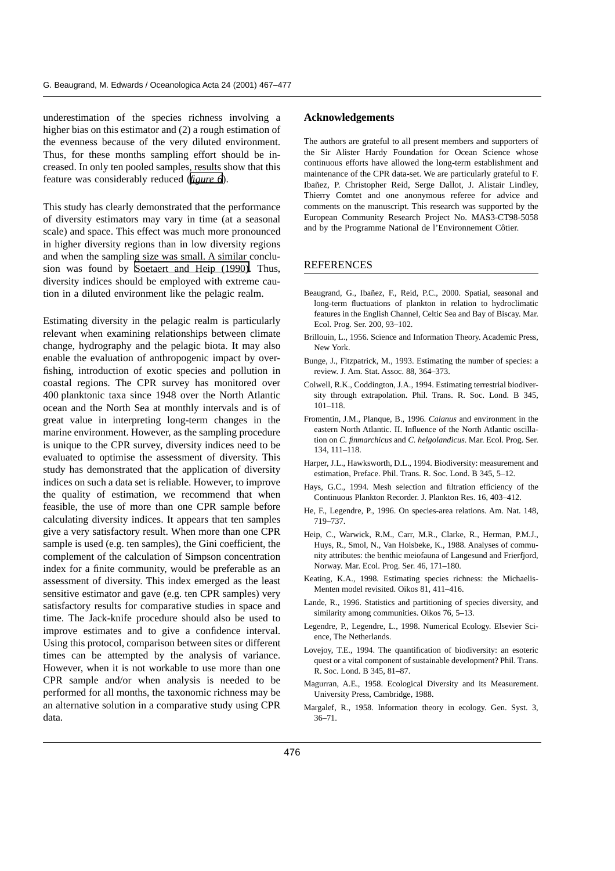<span id="page-9-0"></span>underestimation of the species richness involving a higher bias on this estimator and (2) a rough estimation of the evenness because of the very diluted environment. Thus, for these months sampling effort should be increased. In only ten pooled samples, results show that this feature was considerably reduced (*[figure 6](#page-7-0)*).

This study has clearly demonstrated that the performance of diversity estimators may vary in time (at a seasonal scale) and space. This effect was much more pronounced in higher diversity regions than in low diversity regions and when the sampling size was small. A similar conclusion was found by [Soetaert and Heip \(1990\).](#page-10-0) Thus, diversity indices should be employed with extreme caution in a diluted environment like the pelagic realm.

Estimating diversity in the pelagic realm is particularly relevant when examining relationships between climate change, hydrography and the pelagic biota. It may also enable the evaluation of anthropogenic impact by overfishing, introduction of exotic species and pollution in coastal regions. The CPR survey has monitored over 400 planktonic taxa since 1948 over the North Atlantic ocean and the North Sea at monthly intervals and is of great value in interpreting long-term changes in the marine environment. However, as the sampling procedure is unique to the CPR survey, diversity indices need to be evaluated to optimise the assessment of diversity. This study has demonstrated that the application of diversity indices on such a data set is reliable. However, to improve the quality of estimation, we recommend that when feasible, the use of more than one CPR sample before calculating diversity indices. It appears that ten samples give a very satisfactory result. When more than one CPR sample is used (e.g. ten samples), the Gini coefficient, the complement of the calculation of Simpson concentration index for a finite community, would be preferable as an assessment of diversity. This index emerged as the least sensitive estimator and gave (e.g. ten CPR samples) very satisfactory results for comparative studies in space and time. The Jack-knife procedure should also be used to improve estimates and to give a confidence interval. Using this protocol, comparison between sites or different times can be attempted by the analysis of variance. However, when it is not workable to use more than one CPR sample and/or when analysis is needed to be performed for all months, the taxonomic richness may be an alternative solution in a comparative study using CPR data.

#### **Acknowledgements**

The authors are grateful to all present members and supporters of the Sir Alister Hardy Foundation for Ocean Science whose continuous efforts have allowed the long-term establishment and maintenance of the CPR data-set. We are particularly grateful to F. Ibañez, P. Christopher Reid, Serge Dallot, J. Alistair Lindley, Thierry Comtet and one anonymous referee for advice and comments on the manuscript. This research was supported by the European Community Research Project No. MAS3-CT98-5058 and by the Programme National de l'Environnement Côtier.

#### REFERENCES

- Beaugrand, G., Ibañez, F., Reid, P.C., 2000. Spatial, seasonal and long-term fluctuations of plankton in relation to hydroclimatic features in the English Channel, Celtic Sea and Bay of Biscay. Mar. Ecol. Prog. Ser. 200, 93–102.
- Brillouin, L., 1956. Science and Information Theory. Academic Press, New York.
- Bunge, J., Fitzpatrick, M., 1993. Estimating the number of species: a review. J. Am. Stat. Assoc. 88, 364–373.
- Colwell, R.K., Coddington, J.A., 1994. Estimating terrestrial biodiversity through extrapolation. Phil. Trans. R. Soc. Lond. B 345, 101–118.
- Fromentin, J.M., Planque, B., 1996. *Calanus* and environment in the eastern North Atlantic. II. Influence of the North Atlantic oscillation on *C. finmarchicus* and *C. helgolandicus*. Mar. Ecol. Prog. Ser. 134, 111–118.
- Harper, J.L., Hawksworth, D.L., 1994. Biodiversity: measurement and estimation, Preface. Phil. Trans. R. Soc. Lond. B 345, 5–12.
- Hays, G.C., 1994. Mesh selection and filtration efficiency of the Continuous Plankton Recorder. J. Plankton Res. 16, 403–412.
- He, F., Legendre, P., 1996. On species-area relations. Am. Nat. 148, 719–737.
- Heip, C., Warwick, R.M., Carr, M.R., Clarke, R., Herman, P.M.J., Huys, R., Smol, N., Van Holsbeke, K., 1988. Analyses of community attributes: the benthic meiofauna of Langesund and Frierfjord, Norway. Mar. Ecol. Prog. Ser. 46, 171–180.
- Keating, K.A., 1998. Estimating species richness: the Michaelis-Menten model revisited. Oikos 81, 411–416.
- Lande, R., 1996. Statistics and partitioning of species diversity, and similarity among communities. Oikos 76, 5–13.
- Legendre, P., Legendre, L., 1998. Numerical Ecology. Elsevier Science, The Netherlands.
- Lovejoy, T.E., 1994. The quantification of biodiversity: an esoteric quest or a vital component of sustainable development? Phil. Trans. R. Soc. Lond. B 345, 81–87.
- Magurran, A.E., 1958. Ecological Diversity and its Measurement. University Press, Cambridge, 1988.
- Margalef, R., 1958. Information theory in ecology. Gen. Syst. 3, 36–71.